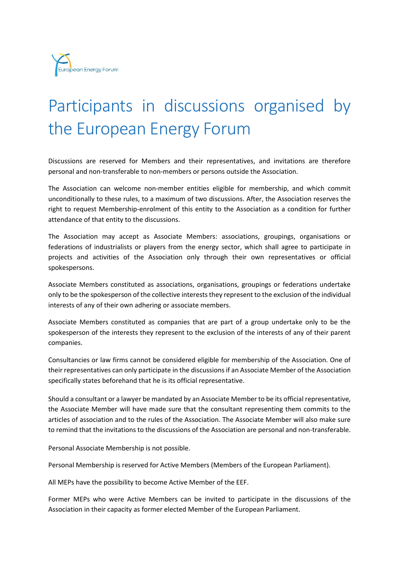

## Participants in discussions organised by the European Energy Forum

Discussions are reserved for Members and their representatives, and invitations are therefore personal and non-transferable to non-members or persons outside the Association.

The Association can welcome non-member entities eligible for membership, and which commit unconditionally to these rules, to a maximum of two discussions. After, the Association reserves the right to request Membership-enrolment of this entity to the Association as a condition for further attendance of that entity to the discussions.

The Association may accept as Associate Members: associations, groupings, organisations or federations of industrialists or players from the energy sector, which shall agree to participate in projects and activities of the Association only through their own representatives or official spokespersons.

Associate Members constituted as associations, organisations, groupings or federations undertake only to be the spokesperson of the collective interests they represent to the exclusion of the individual interests of any of their own adhering or associate members.

Associate Members constituted as companies that are part of a group undertake only to be the spokesperson of the interests they represent to the exclusion of the interests of any of their parent companies.

Consultancies or law firms cannot be considered eligible for membership of the Association. One of their representatives can only participate in the discussions if an Associate Member of the Association specifically states beforehand that he is its official representative.

Should a consultant or a lawyer be mandated by an Associate Member to be its official representative, the Associate Member will have made sure that the consultant representing them commits to the articles of association and to the rules of the Association. The Associate Member will also make sure to remind that the invitations to the discussions of the Association are personal and non-transferable.

Personal Associate Membership is not possible.

Personal Membership is reserved for Active Members (Members of the European Parliament).

All MEPs have the possibility to become Active Member of the EEF.

Former MEPs who were Active Members can be invited to participate in the discussions of the Association in their capacity as former elected Member of the European Parliament.